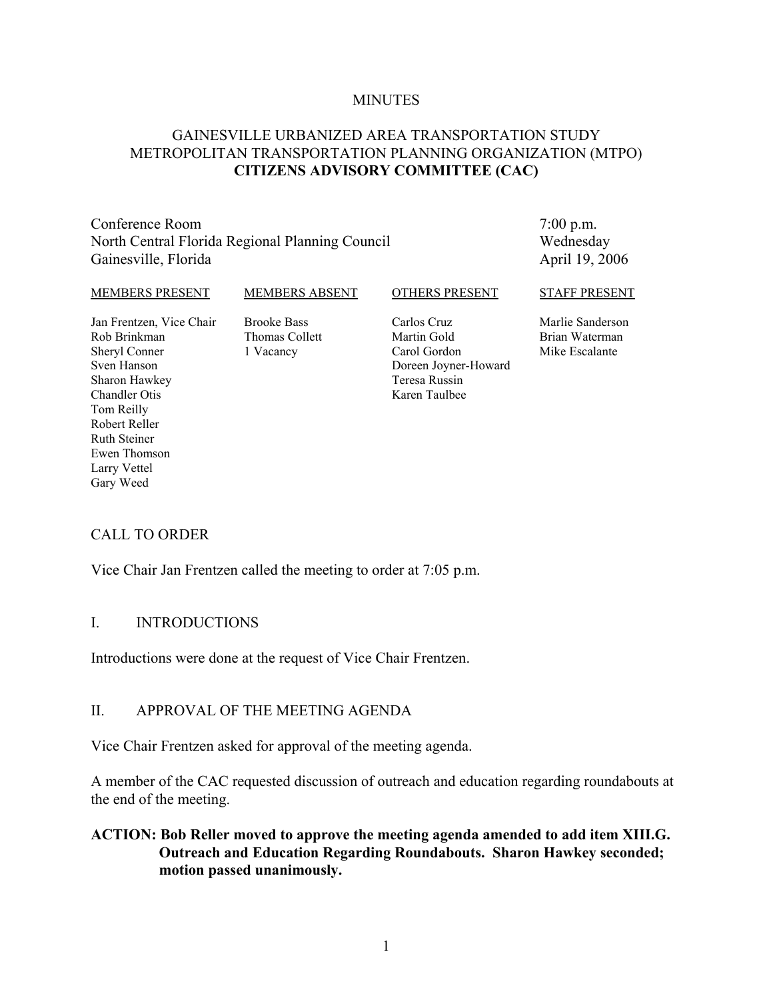#### **MINUTES**

#### GAINESVILLE URBANIZED AREA TRANSPORTATION STUDY METROPOLITAN TRANSPORTATION PLANNING ORGANIZATION (MTPO) **CITIZENS ADVISORY COMMITTEE (CAC)**

Conference Room North Central Florida Regional Planning Council Gainesville, Florida

7:00 p.m. Wednesday April 19, 2006

#### MEMBERS PRESENT

Jan Frentzen, Vice Chair

Rob Brinkman Sheryl Conner Sven Hanson Sharon Hawkey Chandler Otis Tom Reilly Robert Reller Ruth Steiner Ewen Thomson Larry Vettel Gary Weed

Brooke Bass Thomas Collett 1 Vacancy

MEMBERS ABSENT

#### OTHERS PRESENT

Carlos Cruz Martin Gold Carol Gordon Doreen Joyner-Howard Teresa Russin Karen Taulbee

#### STAFF PRESENT

Marlie Sanderson Brian Waterman Mike Escalante

CALL TO ORDER

Vice Chair Jan Frentzen called the meeting to order at 7:05 p.m.

#### I. INTRODUCTIONS

Introductions were done at the request of Vice Chair Frentzen.

#### II. APPROVAL OF THE MEETING AGENDA

Vice Chair Frentzen asked for approval of the meeting agenda.

A member of the CAC requested discussion of outreach and education regarding roundabouts at the end of the meeting.

#### **ACTION: Bob Reller moved to approve the meeting agenda amended to add item XIII.G. Outreach and Education Regarding Roundabouts. Sharon Hawkey seconded; motion passed unanimously.**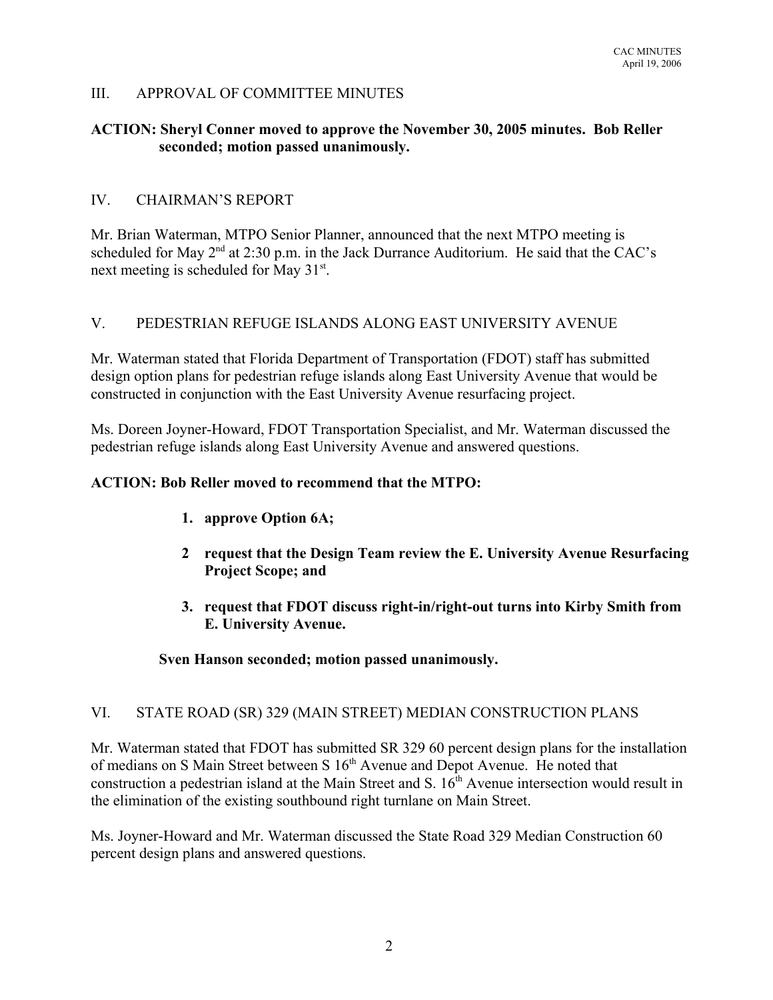## III. APPROVAL OF COMMITTEE MINUTES

#### **ACTION: Sheryl Conner moved to approve the November 30, 2005 minutes. Bob Reller seconded; motion passed unanimously.**

#### IV. CHAIRMAN'S REPORT

Mr. Brian Waterman, MTPO Senior Planner, announced that the next MTPO meeting is scheduled for May  $2<sup>nd</sup>$  at 2:30 p.m. in the Jack Durrance Auditorium. He said that the CAC's next meeting is scheduled for May 31<sup>st</sup>.

## V. PEDESTRIAN REFUGE ISLANDS ALONG EAST UNIVERSITY AVENUE

Mr. Waterman stated that Florida Department of Transportation (FDOT) staff has submitted design option plans for pedestrian refuge islands along East University Avenue that would be constructed in conjunction with the East University Avenue resurfacing project.

Ms. Doreen Joyner-Howard, FDOT Transportation Specialist, and Mr. Waterman discussed the pedestrian refuge islands along East University Avenue and answered questions.

#### **ACTION: Bob Reller moved to recommend that the MTPO:**

- **1. approve Option 6A;**
- **2 request that the Design Team review the E. University Avenue Resurfacing Project Scope; and**
- **3. request that FDOT discuss right-in/right-out turns into Kirby Smith from E. University Avenue.**

#### **Sven Hanson seconded; motion passed unanimously.**

#### VI. STATE ROAD (SR) 329 (MAIN STREET) MEDIAN CONSTRUCTION PLANS

Mr. Waterman stated that FDOT has submitted SR 329 60 percent design plans for the installation of medians on S Main Street between S 16<sup>th</sup> Avenue and Depot Avenue. He noted that construction a pedestrian island at the Main Street and S. 16<sup>th</sup> Avenue intersection would result in the elimination of the existing southbound right turnlane on Main Street.

Ms. Joyner-Howard and Mr. Waterman discussed the State Road 329 Median Construction 60 percent design plans and answered questions.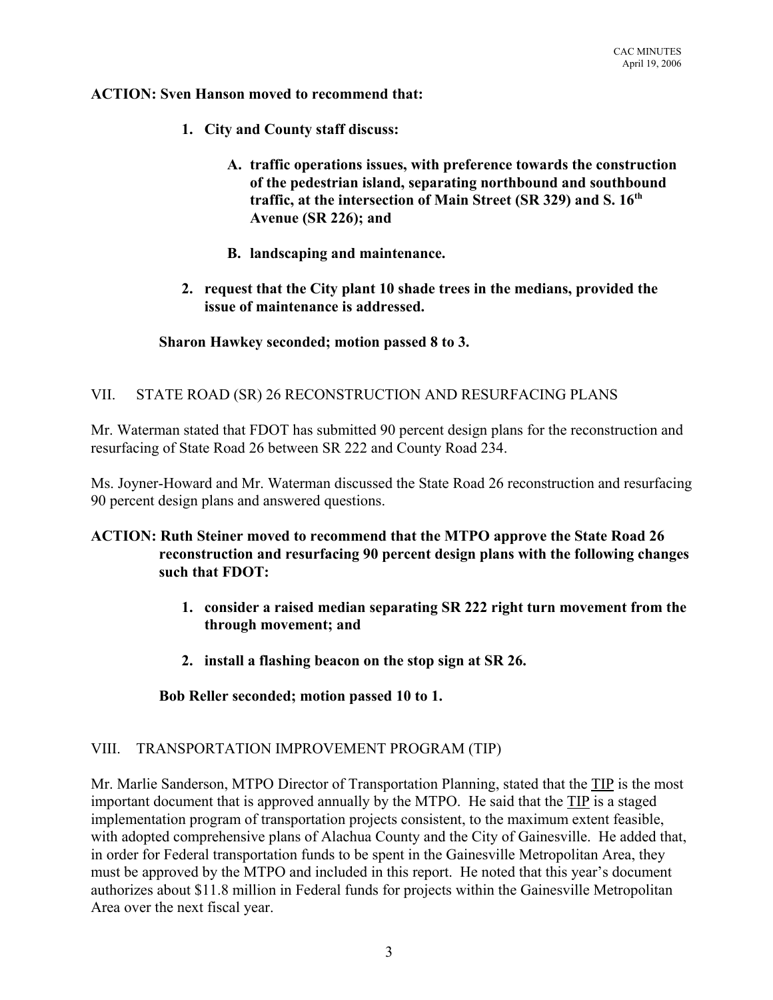**ACTION: Sven Hanson moved to recommend that:**

- **1. City and County staff discuss:**
	- **A. traffic operations issues, with preference towards the construction of the pedestrian island, separating northbound and southbound traffic, at the intersection of Main Street (SR 329) and S. 16th Avenue (SR 226); and**
	- **B. landscaping and maintenance.**
- **2. request that the City plant 10 shade trees in the medians, provided the issue of maintenance is addressed.**

#### **Sharon Hawkey seconded; motion passed 8 to 3.**

#### VII. STATE ROAD (SR) 26 RECONSTRUCTION AND RESURFACING PLANS

Mr. Waterman stated that FDOT has submitted 90 percent design plans for the reconstruction and resurfacing of State Road 26 between SR 222 and County Road 234.

Ms. Joyner-Howard and Mr. Waterman discussed the State Road 26 reconstruction and resurfacing 90 percent design plans and answered questions.

#### **ACTION: Ruth Steiner moved to recommend that the MTPO approve the State Road 26 reconstruction and resurfacing 90 percent design plans with the following changes such that FDOT:**

- **1. consider a raised median separating SR 222 right turn movement from the through movement; and**
- **2. install a flashing beacon on the stop sign at SR 26.**

**Bob Reller seconded; motion passed 10 to 1.**

#### VIII. TRANSPORTATION IMPROVEMENT PROGRAM (TIP)

Mr. Marlie Sanderson, MTPO Director of Transportation Planning, stated that the TIP is the most important document that is approved annually by the MTPO. He said that the TIP is a staged implementation program of transportation projects consistent, to the maximum extent feasible, with adopted comprehensive plans of Alachua County and the City of Gainesville. He added that, in order for Federal transportation funds to be spent in the Gainesville Metropolitan Area, they must be approved by the MTPO and included in this report. He noted that this year's document authorizes about \$11.8 million in Federal funds for projects within the Gainesville Metropolitan Area over the next fiscal year.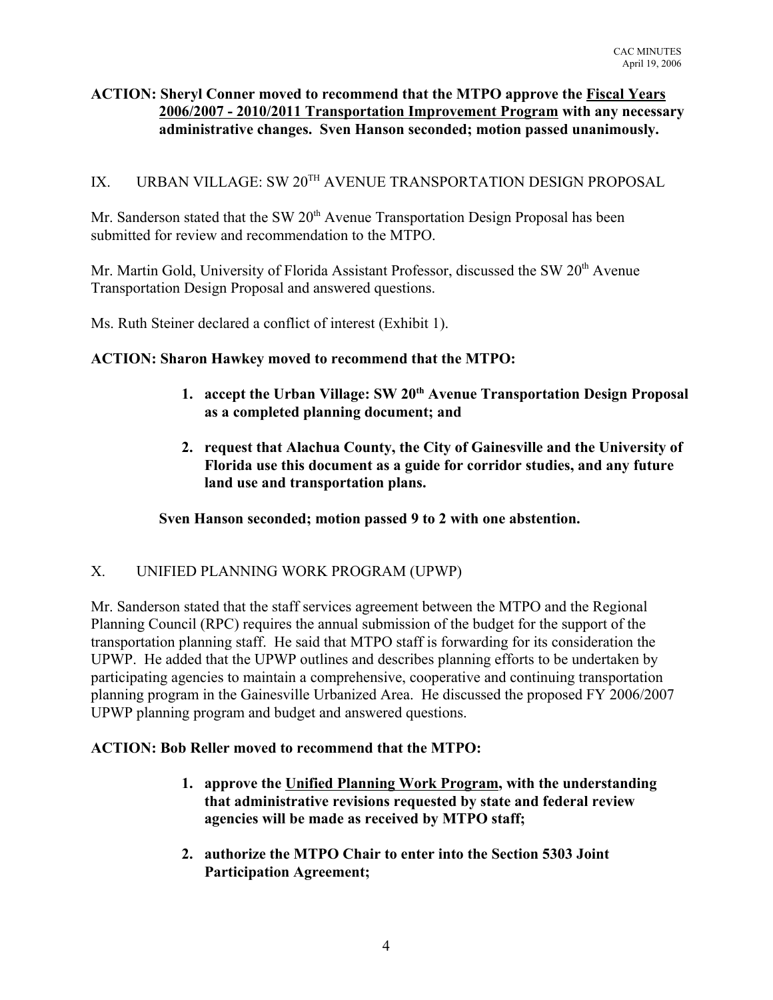# **ACTION: Sheryl Conner moved to recommend that the MTPO approve the Fiscal Years 2006/2007 - 2010/2011 Transportation Improvement Program with any necessary administrative changes. Sven Hanson seconded; motion passed unanimously.**

# IX. URBAN VILLAGE: SW 20<sup>TH</sup> AVENUE TRANSPORTATION DESIGN PROPOSAL

Mr. Sanderson stated that the SW  $20<sup>th</sup>$  Avenue Transportation Design Proposal has been submitted for review and recommendation to the MTPO.

Mr. Martin Gold, University of Florida Assistant Professor, discussed the SW 20<sup>th</sup> Avenue Transportation Design Proposal and answered questions.

Ms. Ruth Steiner declared a conflict of interest (Exhibit 1).

## **ACTION: Sharon Hawkey moved to recommend that the MTPO:**

- **1. accept the Urban Village: SW 20th Avenue Transportation Design Proposal as a completed planning document; and**
- **2. request that Alachua County, the City of Gainesville and the University of Florida use this document as a guide for corridor studies, and any future land use and transportation plans.**

**Sven Hanson seconded; motion passed 9 to 2 with one abstention.**

## X. UNIFIED PLANNING WORK PROGRAM (UPWP)

Mr. Sanderson stated that the staff services agreement between the MTPO and the Regional Planning Council (RPC) requires the annual submission of the budget for the support of the transportation planning staff. He said that MTPO staff is forwarding for its consideration the UPWP. He added that the UPWP outlines and describes planning efforts to be undertaken by participating agencies to maintain a comprehensive, cooperative and continuing transportation planning program in the Gainesville Urbanized Area. He discussed the proposed FY 2006/2007 UPWP planning program and budget and answered questions.

## **ACTION: Bob Reller moved to recommend that the MTPO:**

- **1. approve the Unified Planning Work Program, with the understanding that administrative revisions requested by state and federal review agencies will be made as received by MTPO staff;**
- **2. authorize the MTPO Chair to enter into the Section 5303 Joint Participation Agreement;**